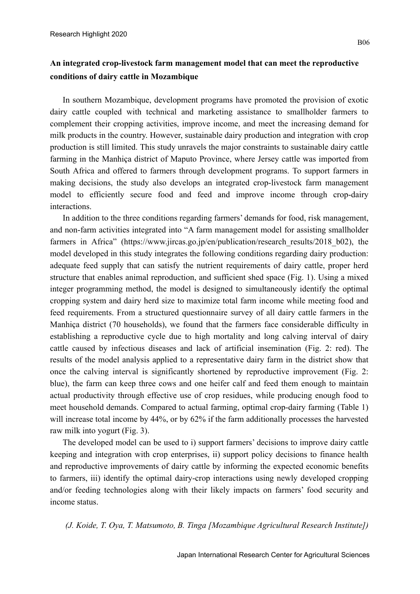## **An integrated crop-livestock farm management model that can meet the reproductive conditions of dairy cattle in Mozambique**

In southern Mozambique, development programs have promoted the provision of exotic dairy cattle coupled with technical and marketing assistance to smallholder farmers to complement their cropping activities, improve income, and meet the increasing demand for milk products in the country. However, sustainable dairy production and integration with crop production is still limited. This study unravels the major constraints to sustainable dairy cattle farming in the Manhiça district of Maputo Province, where Jersey cattle was imported from South Africa and offered to farmers through development programs. To support farmers in making decisions, the study also develops an integrated crop-livestock farm management model to efficiently secure food and feed and improve income through crop-dairy interactions.

In addition to the three conditions regarding farmers' demands for food, risk management, and non-farm activities integrated into "A farm management model for assisting smallholder farmers in Africa" (https://www.jircas.go.jp/en/publication/research results/2018 b02), the model developed in this study integrates the following conditions regarding dairy production: adequate feed supply that can satisfy the nutrient requirements of dairy cattle, proper herd structure that enables animal reproduction, and sufficient shed space (Fig. 1). Using a mixed integer programming method, the model is designed to simultaneously identify the optimal cropping system and dairy herd size to maximize total farm income while meeting food and feed requirements. From a structured questionnaire survey of all dairy cattle farmers in the Manhiça district (70 households), we found that the farmers face considerable difficulty in establishing a reproductive cycle due to high mortality and long calving interval of dairy cattle caused by infectious diseases and lack of artificial insemination (Fig. 2: red). The results of the model analysis applied to a representative dairy farm in the district show that once the calving interval is significantly shortened by reproductive improvement (Fig. 2: blue), the farm can keep three cows and one heifer calf and feed them enough to maintain actual productivity through effective use of crop residues, while producing enough food to meet household demands. Compared to actual farming, optimal crop-dairy farming (Table 1) will increase total income by 44%, or by 62% if the farm additionally processes the harvested raw milk into yogurt (Fig. 3).

The developed model can be used to i) support farmers' decisions to improve dairy cattle keeping and integration with crop enterprises, ii) support policy decisions to finance health and reproductive improvements of dairy cattle by informing the expected economic benefits to farmers, iii) identify the optimal dairy-crop interactions using newly developed cropping and/or feeding technologies along with their likely impacts on farmers' food security and income status.

*(J. Koide, T. Oya, T. Matsumoto, B. Tinga [Mozambique Agricultural Research Institute])*